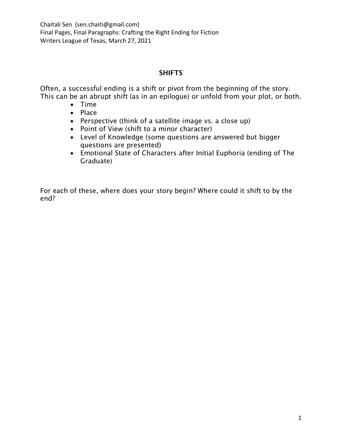### SHIFTS

Often, a successful ending is a shift or pivot from the beginning of the story. This can be an abrupt shift (as in an epilogue) or unfold from your plot, or both.

- Time
- Place
- Perspective (think of a satellite image vs. a close up)
- Point of View (shift to a minor character)
- Level of Knowledge (some questions are answered but bigger questions are presented)
- Emotional State of Characters after Initial Euphoria (ending of The Graduate)

For each of these, where does your story begin? Where could it shift to by the end?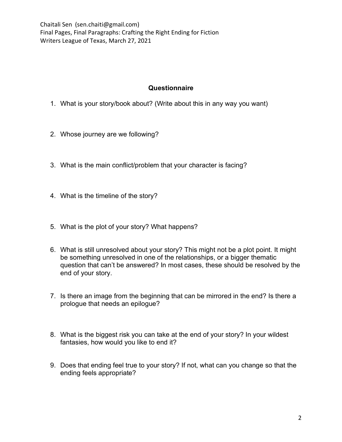#### **Questionnaire**

- 1. What is your story/book about? (Write about this in any way you want)
- 2. Whose journey are we following?
- 3. What is the main conflict/problem that your character is facing?
- 4. What is the timeline of the story?
- 5. What is the plot of your story? What happens?
- 6. What is still unresolved about your story? This might not be a plot point. It might be something unresolved in one of the relationships, or a bigger thematic question that can't be answered? In most cases, these should be resolved by the end of your story.
- 7. Is there an image from the beginning that can be mirrored in the end? Is there a prologue that needs an epilogue?
- 8. What is the biggest risk you can take at the end of your story? In your wildest fantasies, how would you like to end it?
- 9. Does that ending feel true to your story? If not, what can you change so that the ending feels appropriate?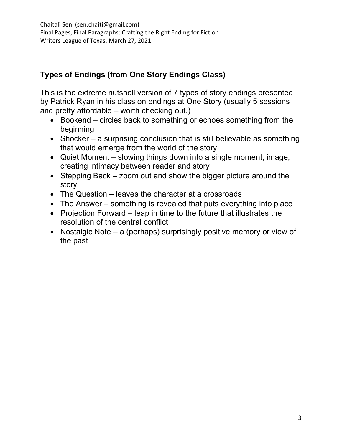# **Types of Endings (from One Story Endings Class)**

This is the extreme nutshell version of 7 types of story endings presented by Patrick Ryan in his class on endings at One Story (usually 5 sessions and pretty affordable – worth checking out.)

- Bookend circles back to something or echoes something from the beginning
- Shocker a surprising conclusion that is still believable as something that would emerge from the world of the story
- Quiet Moment slowing things down into a single moment, image, creating intimacy between reader and story
- Stepping Back zoom out and show the bigger picture around the story
- The Question leaves the character at a crossroads
- The Answer something is revealed that puts everything into place
- Projection Forward leap in time to the future that illustrates the resolution of the central conflict
- Nostalgic Note a (perhaps) surprisingly positive memory or view of the past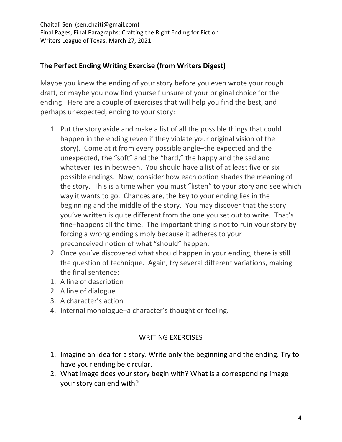## **The Perfect Ending Writing Exercise (from Writers Digest)**

Maybe you knew the ending of your story before you even wrote your rough draft, or maybe you now find yourself unsure of your original choice for the ending. Here are a couple of exercises that will help you find the best, and perhaps unexpected, ending to your story:

- 1. Put the story aside and make a list of all the possible things that could happen in the ending (even if they violate your original vision of the story). Come at it from every possible angle–the expected and the unexpected, the "soft" and the "hard," the happy and the sad and whatever lies in between. You should have a list of at least five or six possible endings. Now, consider how each option shades the meaning of the story. This is a time when you must "listen" to your story and see which way it wants to go. Chances are, the key to your ending lies in the beginning and the middle of the story. You may discover that the story you've written is quite different from the one you set out to write. That's fine–happens all the time. The important thing is not to ruin your story by forcing a wrong ending simply because it adheres to your preconceived notion of what "should" happen.
- 2. Once you've discovered what should happen in your ending, there is still the question of technique. Again, try several different variations, making the final sentence:
- 1. A line of description
- 2. A line of dialogue
- 3. A character's action
- 4. Internal monologue–a character's thought or feeling.

### WRITING EXERCISES

- 1. Imagine an idea for a story. Write only the beginning and the ending. Try to have your ending be circular.
- 2. What image does your story begin with? What is a corresponding image your story can end with?